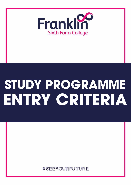

## STUDY PROGRAMME ENTRY CRITERIA

**#SEEYOURFUTURE**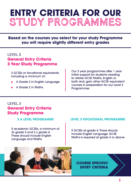## **ENTRY CRITERIA FOR OUR** studyprogrammes

**Based on the courses you select for your study Programme you will require slightly different entry grades** 

#### LEVEL<sub>2</sub>

#### **General Entry Criteria 3 Year Study Programme**

3 GCSEs or Vocational equivalents, including a minimum of:

- A Grade 3 in English Language
- AGrade2inMaths

Our 3 year programmes offer 1 year initial support for students needing to retake GCSE Maths, English or both and, gain other GCSE equivalent courses in preparation for our Level 3 Programmes

#### Level3 **General Entry Criteria Study Programme**

**3 A LEVEL PROGRAMME** 

5 academic GCSEs, a minimum of 3x grade 5 and 2 x grade 4. These should include English Language and Maths

#### **LEVEL3VOCATIONALPROGRAMME**

5 GCSEs at grade 4. These should include English Language. GCSE Maths is required at grade 3 or above



**COURSE SPECIFIC ENTRYCRITERIA**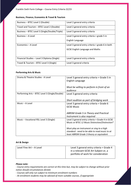Franklin Sixth Form College – Course Entry Criteria 22/23

#### **Business, Finance, Economics & Travel & Tourism**

| Business - BTEC Level 2 (Double)               | Level 2 general entry criteria                   |
|------------------------------------------------|--------------------------------------------------|
| Travel and Tourism - BTEC Level 2 (Double)     | Level 2 general entry criteria                   |
| Business - BTEC Level 3 (Single/Double/Triple) | Level 3 general entry criteria                   |
| Business – A Level                             | Level 3 general entry criteria + grade 5 in      |
|                                                | English Language                                 |
| Economics - A Level                            | Level 3 general entry criteria + grade 6 in both |
|                                                | <b>GCSE English Language and Maths</b>           |
|                                                |                                                  |
| Financial Studies - Level 3 Diploma (Single)   | Level 3 general entry criteria                   |
| Travel & Tourism - BTEC Level 3 (Single)       | Level 3 general criteria                         |

#### **Performing Arts & Music**

| Drama & Theatre Studies - A Level              | Level 3 general entry criteria + Grade 5 in<br>English Language                                     |
|------------------------------------------------|-----------------------------------------------------------------------------------------------------|
|                                                | Must be willing to perform in front of an<br>audience                                               |
| Performing Arts – BTEC Level 3 (Single/Double) | Level 3 general entry criteria                                                                      |
|                                                | Short audition as part of bridging work                                                             |
| Music - A Level                                | Level 3 general entry criteria + Grade 6                                                            |
|                                                | <b>GCSE Music</b>                                                                                   |
|                                                | ABRSM Grade 5 in Theory and Practical<br>Instrument is also required                                |
| Music - Vocational RSL Level 3 (Single)        | Level 3 general entry criteria + Grade 4 in GCSE<br>Music or BTEC L2 Music Distinction/Distinction* |
|                                                |                                                                                                     |
|                                                | Must play an instrument or sing to a high                                                           |
|                                                | standard - need to be able to read music to at                                                      |
|                                                | least ABRSM Grade 3 theory or equivalent                                                            |

#### **Art & Design**

| Level Fine Art - A Level | Level 3 general entry criteria + Grade 4<br>in a relevant GCSE Art Subject or, a<br>portfolio of work for consideration |
|--------------------------|-------------------------------------------------------------------------------------------------------------------------|
|--------------------------|-------------------------------------------------------------------------------------------------------------------------|

#### *Please note:*

*- Course entry requirements are correct at this time but, may be subject to change without prior notice should circumstances dictate*

*- Courses will only run subject to minimum enrolment numbers*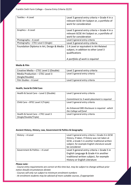| Textiles - A Level                        | Level 3 general entry criteria + Grade 4 in a<br>relevant GCSE Art Subject or, a portfolio of<br>work for consideration              |
|-------------------------------------------|--------------------------------------------------------------------------------------------------------------------------------------|
| Graphics - A Level                        | Level 3 general entry criteria + Grade 4 in a<br>relevant GCSE Art Subject or, a portfolio of<br>work for consideration              |
| Photography - A Level                     | Level 3 general entry criteria                                                                                                       |
| Photography - CTEC Level 3 (Single)       | Level 3 general entry criteria                                                                                                       |
| Foundation Diploma in Art, Design & Media | 1 A Level or equivalent in Art-Related<br>subject, in addition to other Level 3<br>qualifications<br>A portfolio of work is required |

#### **Media & Film**

| Creative Media - CTEC Level 2 (Double) | Level 2 general entry criteria |
|----------------------------------------|--------------------------------|
| Media Production - CTEC Level 3        | Level 3 general entry criteria |
| (Single/Double)                        |                                |
| Film Studies - A Level                 | Level 3 general entry criteria |

#### **Health, Social & Child Care**

| Health & Social Care - Level 2 (Double) | Level 2 general entry criteria                                          |
|-----------------------------------------|-------------------------------------------------------------------------|
|                                         | Commitment to 3-week placement is required                              |
| Child Care - BTEC Level 3 (Triple)      | Level 3 general entry criteria                                          |
|                                         | An Enhanced DBS Disclosure is required - which<br>the College will fund |
| Health & Social Care – CTEC Level 3     | Level 3 general entry criteria                                          |
| (Single/Double/Triple)                  |                                                                         |

#### **Ancient History, History, Law, Government & Politics & Geography**

| History - A Level               | Level 3 general entry criteria + Grade 4 in GCSE<br>History, if taken. If History was not taken at<br>GCSE, a Grade 5 in another traditional written<br>subject, for example English Literature would<br>be considered |
|---------------------------------|------------------------------------------------------------------------------------------------------------------------------------------------------------------------------------------------------------------------|
| Government & Politics - A Level | Level 3 general entry criteria + Grade 5 in<br>English Language & Grade 4 in another<br>traditional written subject, for example<br>History or English Literature                                                      |

#### *Please note:*

*- Course entry requirements are correct at this time but, may be subject to change without prior notice should circumstances dictate*

*<sup>-</sup> Courses will only run subject to minimum enrolment numbers*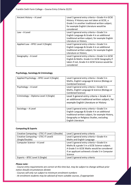| Ancient History - A Level           | Level 3 general entry criteria + Grade 4 in GCSE<br>History. If History was not taken at GCSE, a<br>Grade 5 in another traditional written subject,<br>for example English Literature would be<br>considered |
|-------------------------------------|--------------------------------------------------------------------------------------------------------------------------------------------------------------------------------------------------------------|
| Law - A Level                       | Level 3 general entry criteria + Grade 5 in<br>English Language & Grade 4 in an additional<br>traditional written subject, for example English<br>Literature or History                                      |
| Applied Law - BTEC Level 3 (Single) | Level 3 general entry criteria + Grade 5 in<br>English Language & Grade 4 in an additional<br>traditional written subject, for example English<br>Literature or History                                      |
| Geography - A Level                 | Level 3 general entry criteria + Grade 5 in GCSE<br>English & Maths. Grade 4 in GCSE Geography if<br>taken if not, Grade 4 in GCSE Science would be<br>considered                                            |

#### **Psychology, Sociology & Criminology**

| Applied Psychology - BTEC Level 3 (Single) | Level 3 general entry criteria + Grade 5 in<br>Maths, English Language & Science (Biology or<br>Combined Science)                                                                                                  |
|--------------------------------------------|--------------------------------------------------------------------------------------------------------------------------------------------------------------------------------------------------------------------|
| Psychology - A Level                       | Level 3 general entry criteria + Grade 5 in<br>Maths, English Language & Science (Biology or<br>Combined Science)                                                                                                  |
| Criminology - Diploma Level 3 (Single)     | Level 3 general entry criteria + Grade 4 in<br>an additional traditional written subject, for<br>example English Literature or History                                                                             |
| Sociology - A Level                        | Level 3 general entry criteria + Grade 5 in<br>English Language & Grade 4 in an additional<br>traditional written subject, for example History,<br>Geography or Religious Studies, excluding<br>English Literature |

#### **Computing & Esports**

| Creative Computing - CTEC IT Level 2 (Double) | Level 2 general entry criteria                 |
|-----------------------------------------------|------------------------------------------------|
| Creative Computing - CTEC IT Level3           | Level 3 general entry criteria + Grade 4 in    |
| (Single/Double)                               | Maths and English Language                     |
| Computer Science - A Level                    | Level 3 general entry criteria + Grade 6 in    |
|                                               | Maths & a grade 5 in a GCSE Science subject.   |
|                                               | A Grade 5 in GCSE Maths would be considered    |
|                                               | if an applicant achieved a Grade 5 in Computer |
|                                               | Science                                        |
| Esports - BTEC Level 3 (Single)               | Level 3 general entry criteria                 |

#### *Please note:*

*- Course entry requirements are correct at this time but, may be subject to change without prior notice should circumstances dictate*

*- Courses will only run subject to minimum enrolment numbers*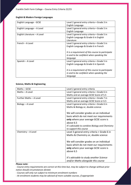#### **English & Modern Foreign Languages**

| English Language - GCSE      | Level 2 general entry criteria + Grade 3 in       |
|------------------------------|---------------------------------------------------|
|                              | English Language                                  |
| English Language – A Level   | Level 3 general entry criteria + Grade 5 in       |
|                              | English Language                                  |
| English Literature - A Level | Level 3 general entry criteria + Grade 5 in       |
|                              | English Language & Grade 6 in English             |
|                              | Literature                                        |
| French - A Level             | Level 3 general entry criteria + Grade 5 in       |
|                              | English Language & Grade 6 in French              |
|                              |                                                   |
|                              | It is a requirement of this course to participate |
|                              | in and to be confident when speaking the          |
|                              | language                                          |
| Spanish – A Level            | Level 3 general entry criteria + Grade 5 in       |
|                              | English Language & Grade 6 in Spanish             |
|                              |                                                   |
|                              | It is a requirement of this course to participate |
|                              | in and to be confident when speaking the          |
|                              | language                                          |

#### **Science, Maths & Engineering**

| Maths-GCSE              | Level 2 general entry criteria                  |
|-------------------------|-------------------------------------------------|
| Maths - A Level         | Level 3 general entry criteria + Grade 6 in     |
|                         | Maths and an average GCSE Score of 5.5          |
| Further Maths - A Level | Level 3 general entry criteria + Grade 7 in     |
|                         | Maths and an average GCSE Score or 6.5          |
| Biology - A Level       | Level 3 general entry criteria + Grade 6 in     |
|                         | Maths & Biology or, double science              |
|                         |                                                 |
|                         | We will consider grades on an individual        |
|                         | basis which do not meet our requirements        |
|                         | only where your average GCSE score is           |
|                         | above 6.5                                       |
|                         | It's advisable to combine Biology and Chemistry |
|                         | to support this course                          |
| Chemistry - A Level     | Level 3 general entry criteria + Grade 6 in     |
|                         | Maths & Chemistry or, double science            |
|                         |                                                 |
|                         | We will consider grades on an individual        |
|                         | basis which do not meet our requirements        |
|                         | only where your average GCSE score is           |
|                         | above 6.5                                       |
|                         |                                                 |
|                         | It's advisable to study another Science         |
|                         | and/or Maths alongside this course              |
|                         |                                                 |

#### *Please note:*

*- Course entry requirements are correct at this time but, may be subject to change without prior notice should circumstances dictate*

*- Courses will only run subject to minimum enrolment numbers*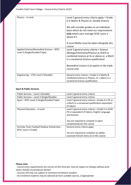| Physics - A Level                                                           | Level 3 general entry criteria apply + Grade<br>6 in Maths & Physics or, double Science<br>We will consider grades on an individual                                         |
|-----------------------------------------------------------------------------|-----------------------------------------------------------------------------------------------------------------------------------------------------------------------------|
|                                                                             | basis which do not meet our requirements<br>only where your average GCSE score is<br>above 6.5                                                                              |
|                                                                             | A Level Maths must be taken alongside this<br>course                                                                                                                        |
| Applied Science/Biomedical Science - BTEC<br>Level 3 (Single/Double/Triple) | Level 3 general entry criteria + Science<br>(Biology/Chemistry/Physics) as 4/4/4 or<br>combined Science at 4s or above or, a Merit<br>in a vocational Science qualification |
|                                                                             | Biomedical science is an option in the triple<br>course only                                                                                                                |
| Engineering - CTEC Level 3 (Double)                                         | General entry criteria + Grade 5 in Maths &<br>Combined Science or Physics, or, a Merit in a<br>vocational Science qualification                                            |

#### **Sport & Public Services**

| Public Services - Level 2 (Double)          | Level 2 general entry criteria                     |
|---------------------------------------------|----------------------------------------------------|
| Public Services - Level 3 (Single/Double)   | Level 3 general entry criteria                     |
| Sport - BTEC Level 3 (Single/Double/Triple) | Level 3 general entry criteria + Grade 4 in PE or, |
|                                             | a Merit in a vocational qualification equivalent   |
|                                             | (if taken).                                        |
| Physical Education - A Level                | Level 3 general entry criteria + Grade 5 in GCSE   |
|                                             | PE or equivalent (if taken), English Language      |
|                                             | and Science.                                       |
|                                             |                                                    |
|                                             | You are required to compete in sport               |
|                                             | competitively for this course                      |
| Grimsby Town Football Shadow Scholarship-   | General entry criteria apply                       |
| BTEC Level 3 (Triple)                       |                                                    |
|                                             | You are required to complete an ability            |
|                                             | assessed trial for entry on to this course         |

#### *Please note:*

*- Course entry requirements are correct at this time but, may be subject to change without prior notice should circumstances dictate*

*- Courses will only run subject to minimum enrolment numbers*